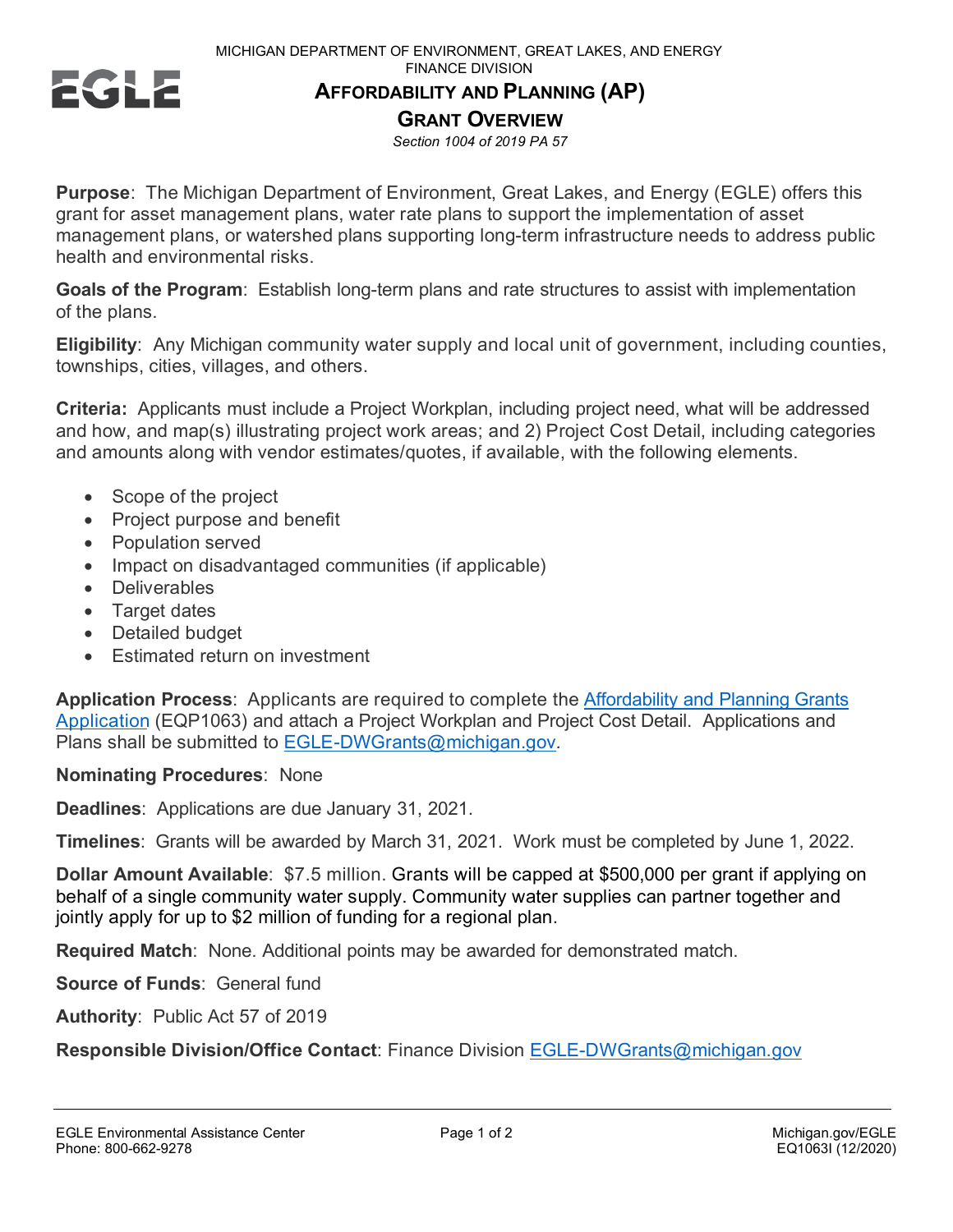

## **AFFORDABILITY AND PLANNING (AP)**

**GRANT OVERVIEW**

*Section 1004 of 2019 PA 57*

**Purpose**: The Michigan Department of Environment, Great Lakes, and Energy (EGLE) offers this grant for asset management plans, water rate plans to support the implementation of asset management plans, or watershed plans supporting long-term infrastructure needs to address public health and environmental risks.

**Goals of the Program**: Establish long-term plans and rate structures to assist with implementation of the plans.

**Eligibility**: Any Michigan community water supply and local unit of government, including counties, townships, cities, villages, and others.

**Criteria:** Applicants must include a Project Workplan, including project need, what will be addressed and how, and map(s) illustrating project work areas; and 2) Project Cost Detail, including categories and amounts along with vendor estimates/quotes, if available, with the following elements.

- Scope of the project
- Project purpose and benefit
- Population served
- Impact on disadvantaged communities (if applicable)
- Deliverables
- Target dates
- Detailed budget
- Estimated return on investment

**Application Process**: Applicants are required to complete the [Affordability and Planning Grants](https://www.michigan.gov/documents/egle/egle-fd-fss-Affordability-and-Planning-Grant-Application_708965_7.pdf) [Application](https://www.michigan.gov/documents/egle/egle-fd-fss-Affordability-and-Planning-Grant-Application_708965_7.pdf) (EQP1063) and attach a Project Workplan and Project Cost Detail. Applications and Plans shall be submitted to EGLE-DWGrants@michigan.gov*.* 

## **Nominating Procedures**: None

**Deadlines**: Applications are due January 31, 2021.

**Timelines**: Grants will be awarded by March 31, 2021. Work must be completed by June 1, 2022.

**Dollar Amount Available**: \$7.5 million. Grants will be capped at \$500,000 per grant if applying on behalf of a single community water supply. Community water supplies can partner together and jointly apply for up to \$2 million of funding for a regional plan.

**Required Match**: None. Additional points may be awarded for demonstrated match.

**Source of Funds**: General fund

**Authority**: Public Act 57 of 2019

**Responsible Division/Office Contact**: Finance Division EGLE-DWGrants@michigan.gov